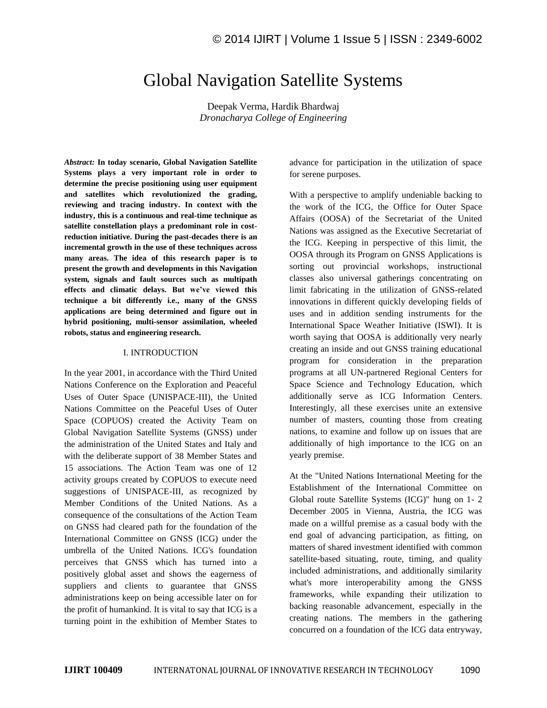# Global Navigation Satellite Systems

Deepak Verma, Hardik Bhardwaj *Dronacharya College of Engineering*

*Abstract:* **In today scenario, Global Navigation Satellite Systems plays a very important role in order to determine the precise positioning using user equipment and satellites which revolutionized the grading, reviewing and tracing industry. In context with the industry, this is a continuous and real-time technique as satellite constellation plays a predominant role in costreduction initiative. During the past-decades there is an incremental growth in the use of these techniques across many areas. The idea of this research paper is to present the growth and developments in this Navigation system, signals and fault sources such as multipath effects and climatic delays. But we've viewed this technique a bit differently i.e., many of the GNSS applications are being determined and figure out in hybrid positioning, multi-sensor assimilation, wheeled robots, status and engineering research.**

#### I. INTRODUCTION

In the year 2001, in accordance with the Third United Nations Conference on the Exploration and Peaceful Uses of Outer Space (UNISPACE-III), the United Nations Committee on the Peaceful Uses of Outer Space (COPUOS) created the Activity Team on Global Navigation Satellite Systems (GNSS) under the administration of the United States and Italy and with the deliberate support of 38 Member States and 15 associations. The Action Team was one of 12 activity groups created by COPUOS to execute need suggestions of UNISPACE-III, as recognized by Member Conditions of the United Nations. As a consequence of the consultations of the Action Team on GNSS had cleared path for the foundation of the International Committee on GNSS (ICG) under the umbrella of the United Nations. ICG's foundation perceives that GNSS which has turned into a positively global asset and shows the eagerness of suppliers and clients to guarantee that GNSS administrations keep on being accessible later on for the profit of humankind. It is vital to say that ICG is a turning point in the exhibition of Member States to advance for participation in the utilization of space for serene purposes.

With a perspective to amplify undeniable backing to the work of the ICG, the Office for Outer Space Affairs (OOSA) of the Secretariat of the United Nations was assigned as the Executive Secretariat of the ICG. Keeping in perspective of this limit, the OOSA through its Program on GNSS Applications is sorting out provincial workshops, instructional classes also universal gatherings concentrating on limit fabricating in the utilization of GNSS-related innovations in different quickly developing fields of uses and in addition sending instruments for the International Space Weather Initiative (ISWI). It is worth saying that OOSA is additionally very nearly creating an inside and out GNSS training educational program for consideration in the preparation programs at all UN-partnered Regional Centers for Space Science and Technology Education, which additionally serve as ICG Information Centers. Interestingly, all these exercises unite an extensive number of masters, counting those from creating nations, to examine and follow up on issues that are additionally of high importance to the ICG on an yearly premise.

At the "United Nations International Meeting for the Establishment of the International Committee on Global route Satellite Systems (ICG)" hung on 1- 2 December 2005 in Vienna, Austria, the ICG was made on a willful premise as a casual body with the end goal of advancing participation, as fitting, on matters of shared investment identified with common satellite-based situating, route, timing, and quality included administrations, and additionally similarity what's more interoperability among the GNSS frameworks, while expanding their utilization to backing reasonable advancement, especially in the creating nations. The members in the gathering concurred on a foundation of the ICG data entryway,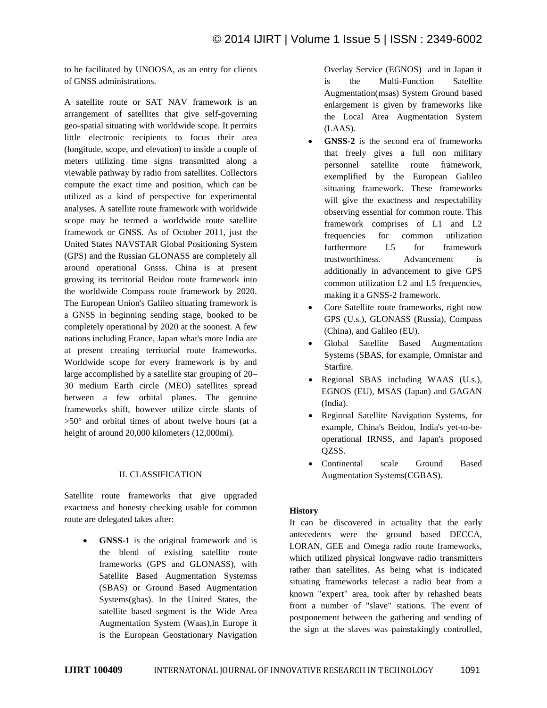to be facilitated by UNOOSA, as an entry for clients of GNSS administrations.

A satellite route or SAT NAV framework is an arrangement of satellites that give self-governing geo-spatial situating with worldwide scope. It permits little electronic recipients to focus their area (longitude, scope, and elevation) to inside a couple of meters utilizing time signs transmitted along a viewable pathway by radio from satellites. Collectors compute the exact time and position, which can be utilized as a kind of perspective for experimental analyses. A satellite route framework with worldwide scope may be termed a worldwide route satellite framework or GNSS. As of October 2011, just the United States NAVSTAR Global Positioning System (GPS) and the Russian GLONASS are completely all around operational Gnsss. China is at present growing its territorial Beidou route framework into the worldwide Compass route framework by 2020. The European Union's Galileo situating framework is a GNSS in beginning sending stage, booked to be completely operational by 2020 at the soonest. A few nations including France, Japan what's more India are at present creating territorial route frameworks. Worldwide scope for every framework is by and large accomplished by a satellite star grouping of 20– 30 medium Earth circle (MEO) satellites spread between a few orbital planes. The genuine frameworks shift, however utilize circle slants of >50° and orbital times of about twelve hours (at a height of around 20,000 kilometers (12,000mi).

### II. CLASSIFICATION

Satellite route frameworks that give upgraded exactness and honesty checking usable for common route are delegated takes after:

 **GNSS-1** is the original framework and is the blend of existing satellite route frameworks (GPS and GLONASS), with Satellite Based Augmentation Systemss (SBAS) or Ground Based Augmentation Systems(gbas). In the United States, the satellite based segment is the Wide Area Augmentation System (Waas),in Europe it is the European Geostationary Navigation Overlay Service (EGNOS) and in Japan it is the Multi-Function Satellite Augmentation(msas) System Ground based enlargement is given by frameworks like the Local Area Augmentation System (LAAS).

- **GNSS-2** is the second era of frameworks that freely gives a full non military personnel satellite route framework, exemplified by the European Galileo situating framework. These frameworks will give the exactness and respectability observing essential for common route. This framework comprises of L1 and L2 frequencies for common utilization furthermore L5 for framework trustworthiness. Advancement is additionally in advancement to give GPS common utilization L2 and L5 frequencies, making it a GNSS-2 framework.
- Core Satellite route frameworks, right now GPS (U.s.), GLONASS (Russia), Compass (China), and Galileo (EU).
- Global Satellite Based Augmentation Systems (SBAS, for example, Omnistar and Starfire.
- Regional SBAS including WAAS (U.s.), EGNOS (EU), MSAS (Japan) and GAGAN (India).
- Regional Satellite Navigation Systems, for example, China's Beidou, India's yet-to-beoperational IRNSS, and Japan's proposed QZSS.
- Continental scale Ground Based Augmentation Systems(CGBAS).

### **History**

It can be discovered in actuality that the early antecedents were the ground based DECCA, LORAN, GEE and Omega radio route frameworks, which utilized physical longwave radio transmitters rather than satellites. As being what is indicated situating frameworks telecast a radio beat from a known "expert" area, took after by rehashed beats from a number of "slave" stations. The event of postponement between the gathering and sending of the sign at the slaves was painstakingly controlled,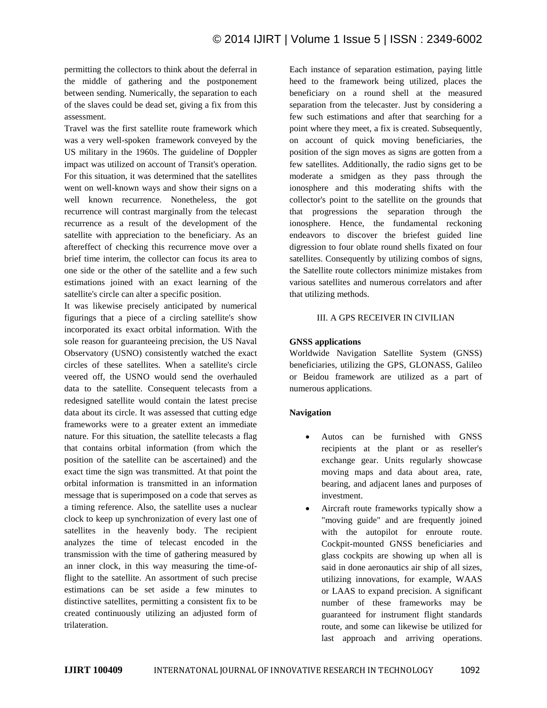permitting the collectors to think about the deferral in the middle of gathering and the postponement between sending. Numerically, the separation to each of the slaves could be dead set, giving a fix from this assessment.

Travel was the first satellite route framework which was a very well-spoken framework conveyed by the US military in the 1960s. The guideline of Doppler impact was utilized on account of Transit's operation. For this situation, it was determined that the satellites went on well-known ways and show their signs on a well known recurrence. Nonetheless, the got recurrence will contrast marginally from the telecast recurrence as a result of the development of the satellite with appreciation to the beneficiary. As an aftereffect of checking this recurrence move over a brief time interim, the collector can focus its area to one side or the other of the satellite and a few such estimations joined with an exact learning of the satellite's circle can alter a specific position.

It was likewise precisely anticipated by numerical figurings that a piece of a circling satellite's show incorporated its exact orbital information. With the sole reason for guaranteeing precision, the US Naval Observatory (USNO) consistently watched the exact circles of these satellites. When a satellite's circle veered off, the USNO would send the overhauled data to the satellite. Consequent telecasts from a redesigned satellite would contain the latest precise data about its circle. It was assessed that cutting edge frameworks were to a greater extent an immediate nature. For this situation, the satellite telecasts a flag that contains orbital information (from which the position of the satellite can be ascertained) and the exact time the sign was transmitted. At that point the orbital information is transmitted in an information message that is superimposed on a code that serves as a timing reference. Also, the satellite uses a nuclear clock to keep up synchronization of every last one of satellites in the heavenly body. The recipient analyzes the time of telecast encoded in the transmission with the time of gathering measured by an inner clock, in this way measuring the time-offlight to the satellite. An assortment of such precise estimations can be set aside a few minutes to distinctive satellites, permitting a consistent fix to be created continuously utilizing an adjusted form of trilateration.

Each instance of separation estimation, paying little heed to the framework being utilized, places the beneficiary on a round shell at the measured separation from the telecaster. Just by considering a few such estimations and after that searching for a point where they meet, a fix is created. Subsequently, on account of quick moving beneficiaries, the position of the sign moves as signs are gotten from a few satellites. Additionally, the radio signs get to be moderate a smidgen as they pass through the ionosphere and this moderating shifts with the collector's point to the satellite on the grounds that that progressions the separation through the ionosphere. Hence, the fundamental reckoning endeavors to discover the briefest guided line digression to four oblate round shells fixated on four satellites. Consequently by utilizing combos of signs, the Satellite route collectors minimize mistakes from various satellites and numerous correlators and after that utilizing methods.

### III. A GPS RECEIVER IN CIVILIAN

# **GNSS applications**

Worldwide Navigation Satellite System (GNSS) beneficiaries, utilizing the GPS, GLONASS, Galileo or Beidou framework are utilized as a part of numerous applications.

### **Navigation**

- Autos can be furnished with GNSS recipients at the plant or as reseller's exchange gear. Units regularly showcase moving maps and data about area, rate, bearing, and adjacent lanes and purposes of investment.
- Aircraft route frameworks typically show a "moving guide" and are frequently joined with the autopilot for enroute route. Cockpit-mounted GNSS beneficiaries and glass cockpits are showing up when all is said in done aeronautics air ship of all sizes, utilizing innovations, for example, WAAS or LAAS to expand precision. A significant number of these frameworks may be guaranteed for instrument flight standards route, and some can likewise be utilized for last approach and arriving operations.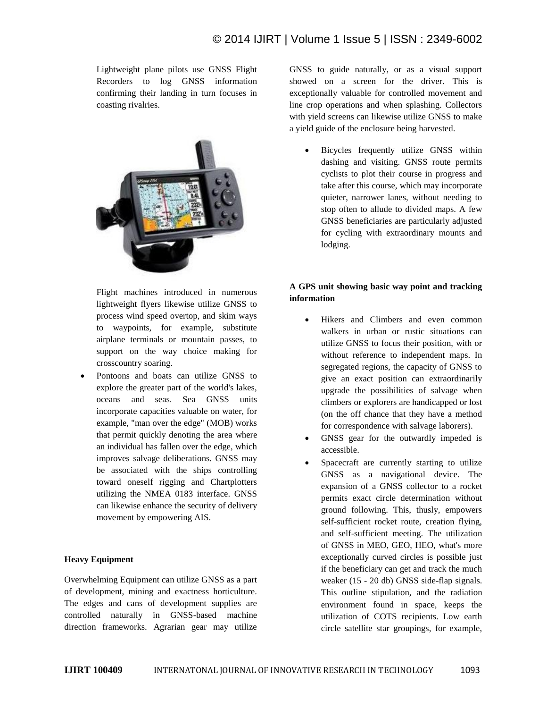Lightweight plane pilots use GNSS Flight Recorders to log GNSS information confirming their landing in turn focuses in coasting rivalries.



Flight machines introduced in numerous lightweight flyers likewise utilize GNSS to process wind speed overtop, and skim ways to waypoints, for example, substitute airplane terminals or mountain passes, to support on the way choice making for crosscountry soaring.

 Pontoons and boats can utilize GNSS to explore the greater part of the world's lakes, oceans and seas. Sea GNSS units incorporate capacities valuable on water, for example, "man over the edge" (MOB) works that permit quickly denoting the area where an individual has fallen over the edge, which improves salvage deliberations. GNSS may be associated with the ships controlling toward oneself rigging and Chartplotters utilizing the NMEA 0183 interface. GNSS can likewise enhance the security of delivery movement by empowering AIS.

### **Heavy Equipment**

Overwhelming Equipment can utilize GNSS as a part of development, mining and exactness horticulture. The edges and cans of development supplies are controlled naturally in GNSS-based machine direction frameworks. Agrarian gear may utilize GNSS to guide naturally, or as a visual support showed on a screen for the driver. This is exceptionally valuable for controlled movement and line crop operations and when splashing. Collectors with yield screens can likewise utilize GNSS to make a yield guide of the enclosure being harvested.

 Bicycles frequently utilize GNSS within dashing and visiting. GNSS route permits cyclists to plot their course in progress and take after this course, which may incorporate quieter, narrower lanes, without needing to stop often to allude to divided maps. A few GNSS beneficiaries are particularly adjusted for cycling with extraordinary mounts and lodging.

# **A GPS unit showing basic way point and tracking information**

- Hikers and Climbers and even common walkers in urban or rustic situations can utilize GNSS to focus their position, with or without reference to independent maps. In segregated regions, the capacity of GNSS to give an exact position can extraordinarily upgrade the possibilities of salvage when climbers or explorers are handicapped or lost (on the off chance that they have a method for correspondence with salvage laborers).
- GNSS gear for the outwardly impeded is accessible.
- Spacecraft are currently starting to utilize GNSS as a navigational device. The expansion of a GNSS collector to a rocket permits exact circle determination without ground following. This, thusly, empowers self-sufficient rocket route, creation flying, and self-sufficient meeting. The utilization of GNSS in MEO, GEO, HEO, what's more exceptionally curved circles is possible just if the beneficiary can get and track the much weaker (15 - 20 db) GNSS side-flap signals. This outline stipulation, and the radiation environment found in space, keeps the utilization of COTS recipients. Low earth circle satellite star groupings, for example,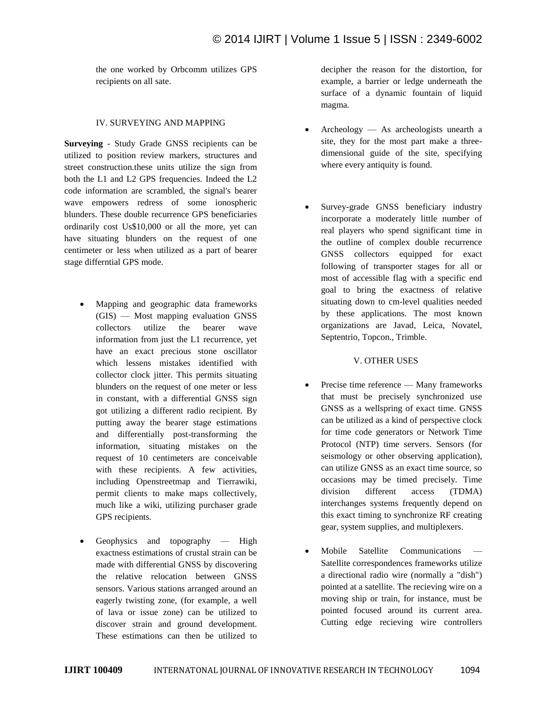the one worked by Orbcomm utilizes GPS recipients on all sate.

#### IV. SURVEYING AND MAPPING

**Surveying** - Study Grade GNSS recipients can be utilized to position review markers, structures and street construction.these units utilize the sign from both the L1 and L2 GPS frequencies. Indeed the L2 code information are scrambled, the signal's bearer wave empowers redress of some ionospheric blunders. These double recurrence GPS beneficiaries ordinarily cost Us\$10,000 or all the more, yet can have situating blunders on the request of one centimeter or less when utilized as a part of bearer stage differntial GPS mode.

- Mapping and geographic data frameworks (GIS) — Most mapping evaluation GNSS collectors utilize the bearer wave information from just the L1 recurrence, yet have an exact precious stone oscillator which lessens mistakes identified with collector clock jitter. This permits situating blunders on the request of one meter or less in constant, with a differential GNSS sign got utilizing a different radio recipient. By putting away the bearer stage estimations and differentially post-transforming the information, situating mistakes on the request of 10 centimeters are conceivable with these recipients. A few activities, including Openstreetmap and Tierrawiki, permit clients to make maps collectively, much like a wiki, utilizing purchaser grade GPS recipients.
- Geophysics and topography High exactness estimations of crustal strain can be made with differential GNSS by discovering the relative relocation between GNSS sensors. Various stations arranged around an eagerly twisting zone, (for example, a well of lava or issue zone) can be utilized to discover strain and ground development. These estimations can then be utilized to

decipher the reason for the distortion, for example, a barrier or ledge underneath the surface of a dynamic fountain of liquid magma.

- Archeology As archeologists unearth a site, they for the most part make a threedimensional guide of the site, specifying where every antiquity is found.
- Survey-grade GNSS beneficiary industry incorporate a moderately little number of real players who spend significant time in the outline of complex double recurrence GNSS collectors equipped for exact following of transporter stages for all or most of accessible flag with a specific end goal to bring the exactness of relative situating down to cm-level qualities needed by these applications. The most known organizations are Javad, Leica, Novatel, Septentrio, Topcon., Trimble.

### V. OTHER USES

- Precise time reference Many frameworks that must be precisely synchronized use GNSS as a wellspring of exact time. GNSS can be utilized as a kind of perspective clock for time code generators or Network Time Protocol (NTP) time servers. Sensors (for seismology or other observing application), can utilize GNSS as an exact time source, so occasions may be timed precisely. Time division different access (TDMA) interchanges systems frequently depend on this exact timing to synchronize RF creating gear, system supplies, and multiplexers.
- Mobile Satellite Communications Satellite correspondences frameworks utilize a directional radio wire (normally a "dish") pointed at a satellite. The recieving wire on a moving ship or train, for instance, must be pointed focused around its current area. Cutting edge recieving wire controllers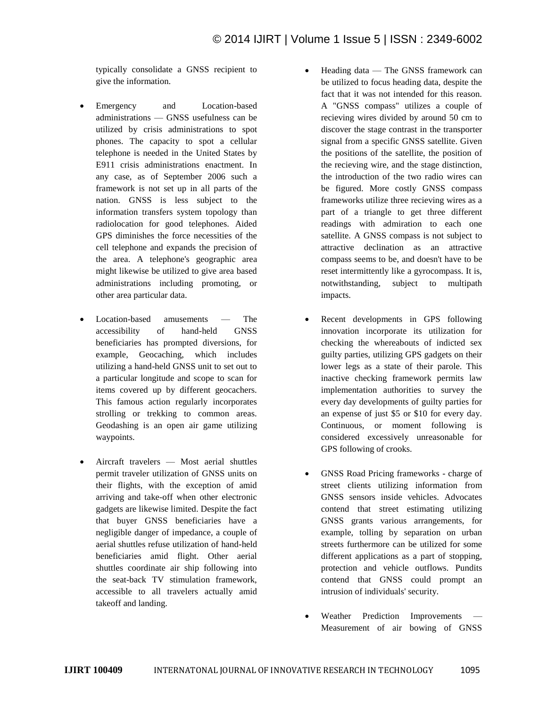typically consolidate a GNSS recipient to give the information.

- Emergency and Location-based administrations — GNSS usefulness can be utilized by crisis administrations to spot phones. The capacity to spot a cellular telephone is needed in the United States by E911 crisis administrations enactment. In any case, as of September 2006 such a framework is not set up in all parts of the nation. GNSS is less subject to the information transfers system topology than radiolocation for good telephones. Aided GPS diminishes the force necessities of the cell telephone and expands the precision of the area. A telephone's geographic area might likewise be utilized to give area based administrations including promoting, or other area particular data.
- Location-based amusements The accessibility of hand-held GNSS beneficiaries has prompted diversions, for example, Geocaching, which includes utilizing a hand-held GNSS unit to set out to a particular longitude and scope to scan for items covered up by different geocachers. This famous action regularly incorporates strolling or trekking to common areas. Geodashing is an open air game utilizing waypoints.
- Aircraft travelers Most aerial shuttles permit traveler utilization of GNSS units on their flights, with the exception of amid arriving and take-off when other electronic gadgets are likewise limited. Despite the fact that buyer GNSS beneficiaries have a negligible danger of impedance, a couple of aerial shuttles refuse utilization of hand-held beneficiaries amid flight. Other aerial shuttles coordinate air ship following into the seat-back TV stimulation framework, accessible to all travelers actually amid takeoff and landing.
- Heading data The GNSS framework can be utilized to focus heading data, despite the fact that it was not intended for this reason. A "GNSS compass" utilizes a couple of recieving wires divided by around 50 cm to discover the stage contrast in the transporter signal from a specific GNSS satellite. Given the positions of the satellite, the position of the recieving wire, and the stage distinction, the introduction of the two radio wires can be figured. More costly GNSS compass frameworks utilize three recieving wires as a part of a triangle to get three different readings with admiration to each one satellite. A GNSS compass is not subject to attractive declination as an attractive compass seems to be, and doesn't have to be reset intermittently like a gyrocompass. It is, notwithstanding, subject to multipath impacts.
- Recent developments in GPS following innovation incorporate its utilization for checking the whereabouts of indicted sex guilty parties, utilizing GPS gadgets on their lower legs as a state of their parole. This inactive checking framework permits law implementation authorities to survey the every day developments of guilty parties for an expense of just \$5 or \$10 for every day. Continuous, or moment following is considered excessively unreasonable for GPS following of crooks.
- GNSS Road Pricing frameworks charge of street clients utilizing information from GNSS sensors inside vehicles. Advocates contend that street estimating utilizing GNSS grants various arrangements, for example, tolling by separation on urban streets furthermore can be utilized for some different applications as a part of stopping, protection and vehicle outflows. Pundits contend that GNSS could prompt an intrusion of individuals' security.
- Weather Prediction Improvements Measurement of air bowing of GNSS